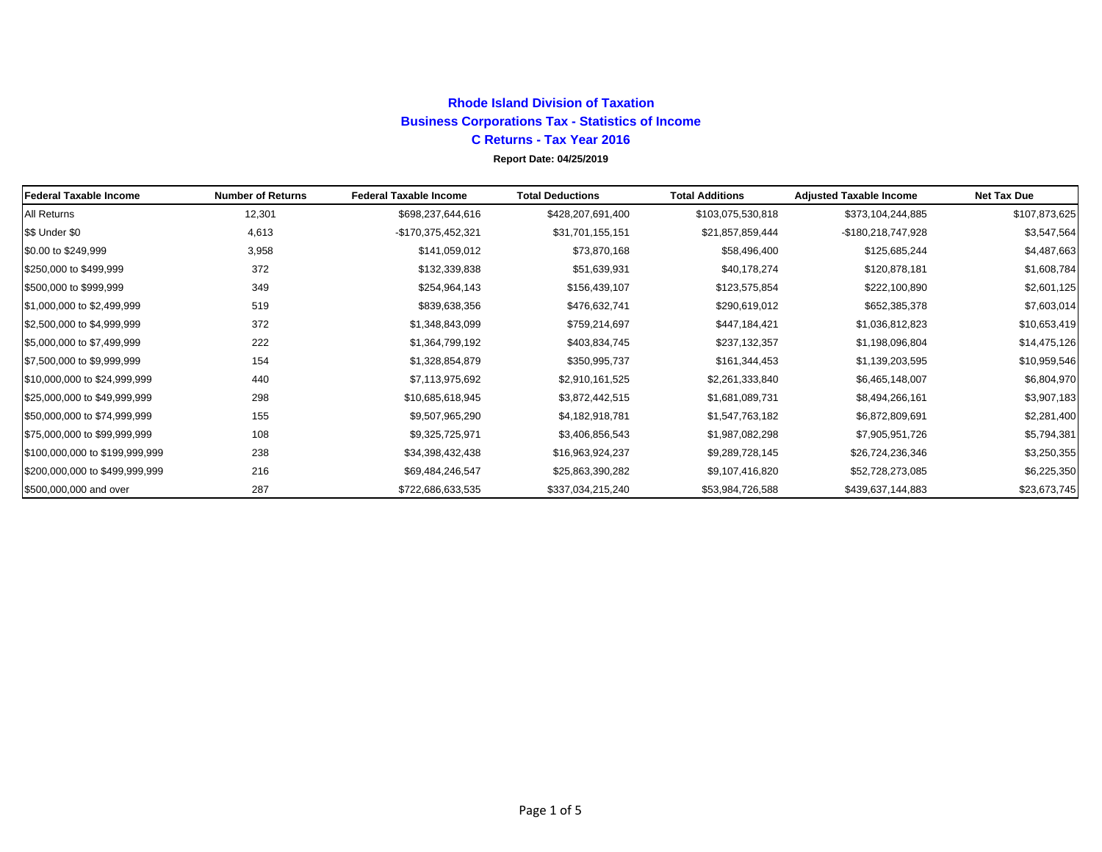## **Rhode Island Division of TaxationBusiness Corporations Tax - Statistics of Income C Returns - Tax Year 2016 Report Date: 04/25/2019**

| Federal Taxable Income         | <b>Number of Returns</b> | <b>Federal Taxable Income</b> | <b>Total Deductions</b> | <b>Total Additions</b> | <b>Adjusted Taxable Income</b> | <b>Net Tax Due</b> |
|--------------------------------|--------------------------|-------------------------------|-------------------------|------------------------|--------------------------------|--------------------|
| <b>All Returns</b>             | 12,301                   | \$698,237,644,616             | \$428,207,691,400       | \$103,075,530,818      | \$373,104,244,885              | \$107,873,625      |
| \$\$ Under \$0                 | 4,613                    | -\$170,375,452,321            | \$31,701,155,151        | \$21,857,859,444       | -\$180,218,747,928             | \$3,547,564        |
| \$0.00 to \$249,999            | 3,958                    | \$141,059,012                 | \$73,870,168            | \$58,496,400           | \$125,685,244                  | \$4,487,663        |
| \$250,000 to \$499,999         | 372                      | \$132,339,838                 | \$51,639,931            | \$40,178,274           | \$120,878,181                  | \$1,608,784        |
| \$500,000 to \$999,999         | 349                      | \$254,964,143                 | \$156,439,107           | \$123,575,854          | \$222,100,890                  | \$2,601,125        |
| \$1,000,000 to \$2,499,999     | 519                      | \$839,638,356                 | \$476,632,741           | \$290,619,012          | \$652,385,378                  | \$7,603,014        |
| \$2,500,000 to \$4,999,999     | 372                      | \$1,348,843,099               | \$759,214,697           | \$447,184,421          | \$1,036,812,823                | \$10,653,419       |
| \$5,000,000 to \$7,499,999     | 222                      | \$1,364,799,192               | \$403,834,745           | \$237,132,357          | \$1,198,096,804                | \$14,475,126       |
| \$7,500,000 to \$9,999,999     | 154                      | \$1,328,854,879               | \$350,995,737           | \$161,344,453          | \$1,139,203,595                | \$10,959,546       |
| \$10,000,000 to \$24,999,999   | 440                      | \$7,113,975,692               | \$2,910,161,525         | \$2,261,333,840        | \$6,465,148,007                | \$6,804,970        |
| \$25,000,000 to \$49,999,999   | 298                      | \$10,685,618,945              | \$3,872,442,515         | \$1,681,089,731        | \$8,494,266,161                | \$3,907,183        |
| \$50,000,000 to \$74,999,999   | 155                      | \$9,507,965,290               | \$4,182,918,781         | \$1,547,763,182        | \$6,872,809,691                | \$2,281,400        |
| \$75,000,000 to \$99,999,999   | 108                      | \$9,325,725,971               | \$3,406,856,543         | \$1,987,082,298        | \$7,905,951,726                | \$5,794,381        |
| \$100,000,000 to \$199,999,999 | 238                      | \$34,398,432,438              | \$16,963,924,237        | \$9,289,728,145        | \$26,724,236,346               | \$3,250,355        |
| \$200,000,000 to \$499,999,999 | 216                      | \$69,484,246,547              | \$25,863,390,282        | \$9,107,416,820        | \$52,728,273,085               | \$6,225,350        |
| \$500,000,000 and over         | 287                      | \$722,686,633,535             | \$337,034,215,240       | \$53,984,726,588       | \$439,637,144,883              | \$23,673,745       |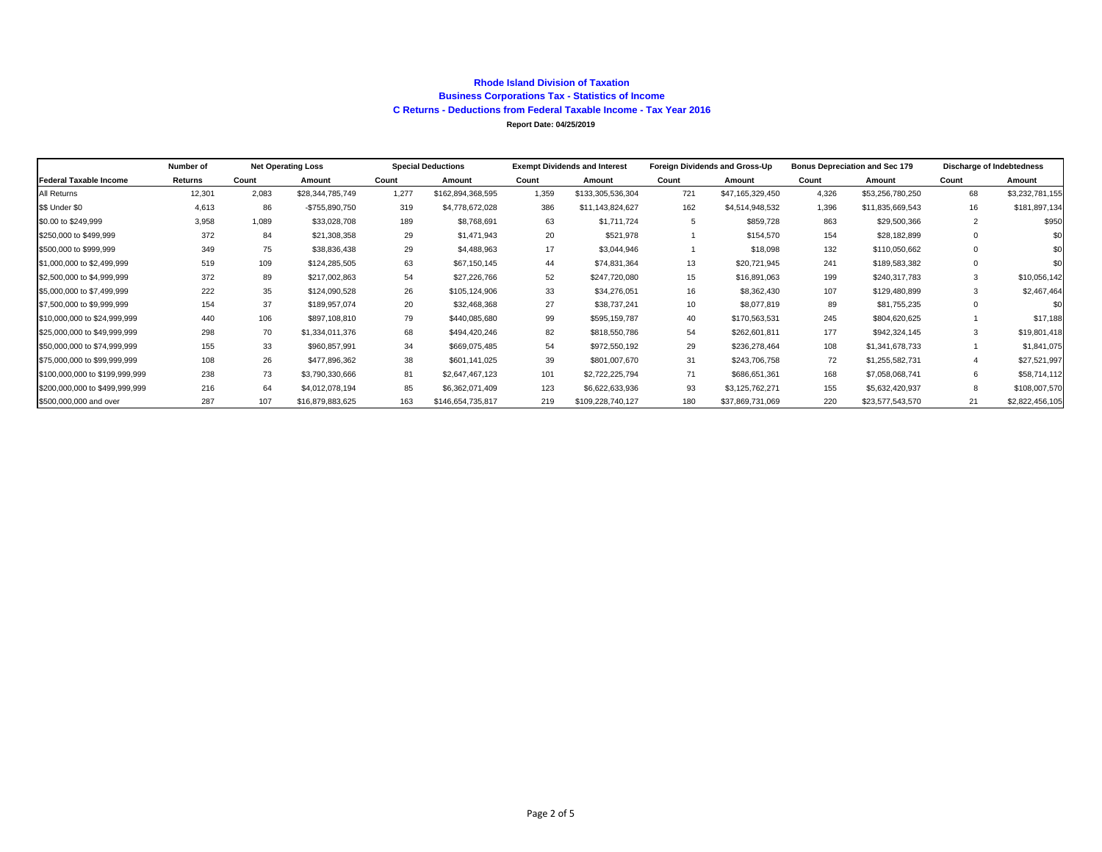#### **Rhode Island Division of TaxationBusiness Corporations Tax - Statistics of Income C Returns - Deductions from Federal Taxable Income - Tax Year 2016 Report Date: 04/25/2019**

|                                | Number of | <b>Net Operating Loss</b> |                  | <b>Special Deductions</b> |                   | <b>Exempt Dividends and Interest</b> |                   | Foreign Dividends and Gross-Up |                  | <b>Bonus Depreciation and Sec 179</b> |                  | Discharge of Indebtedness |                 |
|--------------------------------|-----------|---------------------------|------------------|---------------------------|-------------------|--------------------------------------|-------------------|--------------------------------|------------------|---------------------------------------|------------------|---------------------------|-----------------|
| <b>Federal Taxable Income</b>  | Returns   | Count                     | Amount           | Count                     | Amount            | Count                                | Amount            | Count                          | Amount           | Count                                 | Amount           | Count                     | Amount          |
| All Returns                    | 12,301    | 2,083                     | \$28,344,785,749 | 1.277                     | \$162,894,368,595 | 1,359                                | \$133,305,536,304 | 721                            | \$47,165,329,450 | 4,326                                 | \$53,256,780,250 | 68                        | \$3,232,781,155 |
| \$\$ Under \$0                 | 4,613     | 86                        | -\$755,890,750   | 319                       | \$4,778,672,028   | 386                                  | \$11,143,824,627  | 162                            | \$4,514,948,532  | 1,396                                 | \$11,835,669,543 | 16                        | \$181,897,134   |
| \$0.00 to \$249,999            | 3,958     | 1,089                     | \$33,028,708     | 189                       | \$8,768,691       | 63                                   | \$1,711,724       |                                | \$859,728        | 863                                   | \$29,500,366     |                           | \$950           |
| \$250,000 to \$499,999         | 372       | 84                        | \$21,308,358     | 29                        | \$1,471,943       | 20                                   | \$521,978         |                                | \$154,570        | 154                                   | \$28,182,899     |                           | \$0             |
| \$500,000 to \$999,999         | 349       | 75                        | \$38,836,438     | 29                        | \$4,488,963       | 17                                   | \$3,044,946       |                                | \$18,098         | 132                                   | \$110,050,662    |                           | \$0             |
| \$1,000,000 to \$2,499,999     | 519       | 109                       | \$124,285,505    | 63                        | \$67,150,145      | 44                                   | \$74,831,364      | 13                             | \$20,721,945     | 241                                   | \$189,583,382    | $\mathbf 0$               | \$0             |
| \$2,500,000 to \$4,999,999     | 372       | 89                        | \$217,002,863    | 54                        | \$27,226,766      | 52                                   | \$247,720,080     | 15                             | \$16,891,063     | 199                                   | \$240,317,783    | 3                         | \$10,056,142    |
| \$5,000,000 to \$7,499,999     | 222       | 35                        | \$124,090,528    | 26                        | \$105,124,906     | 33                                   | \$34,276,051      | 16                             | \$8,362,430      | 107                                   | \$129,480,899    | 3                         | \$2,467,464     |
| \$7,500,000 to \$9,999,999     | 154       | 37                        | \$189,957,074    | 20                        | \$32,468,368      | 27                                   | \$38,737,241      | 10                             | \$8,077,819      | 89                                    | \$81,755,235     | $\Omega$                  | \$0             |
| \$10,000,000 to \$24,999,999   | 440       | 106                       | \$897,108,810    | 79                        | \$440,085,680     | 99                                   | \$595,159,787     | 40                             | \$170,563,531    | 245                                   | \$804,620,625    |                           | \$17,188        |
| \$25,000,000 to \$49,999,999   | 298       | 70                        | \$1,334,011,376  | 68                        | \$494,420,246     | 82                                   | \$818,550,786     | 54                             | \$262,601,811    | 177                                   | \$942,324,145    |                           | \$19,801,418    |
| \$50,000,000 to \$74,999,999   | 155       | 33                        | \$960,857,991    | 34                        | \$669,075,485     | 54                                   | \$972,550,192     | 29                             | \$236,278,464    | 108                                   | \$1,341,678,733  |                           | \$1,841,075     |
| \$75,000,000 to \$99,999,999   | 108       | 26                        | \$477,896,362    | 38                        | \$601,141,025     | 39                                   | \$801,007,670     | 31                             | \$243,706,758    | 72                                    | \$1,255,582,731  |                           | \$27,521,997    |
| \$100,000,000 to \$199,999,999 | 238       | 73                        | \$3,790,330,666  | 81                        | \$2,647,467,123   | 101                                  | \$2,722,225,794   | 71                             | \$686,651,361    | 168                                   | \$7,058,068,741  | 6                         | \$58,714,112    |
| \$200,000,000 to \$499,999,999 | 216       | 64                        | \$4,012,078,194  | 85                        | \$6,362,071,409   | 123                                  | \$6,622,633,936   | 93                             | \$3,125,762,271  | 155                                   | \$5,632,420,937  |                           | \$108,007,570   |
| \$500,000,000 and over         | 287       | 107                       | \$16,879,883,625 | 163                       | \$146,654,735,817 | 219                                  | \$109,228,740,127 | 180                            | \$37,869,731,069 | 220                                   | \$23,577,543,570 | 21                        | \$2,822,456,105 |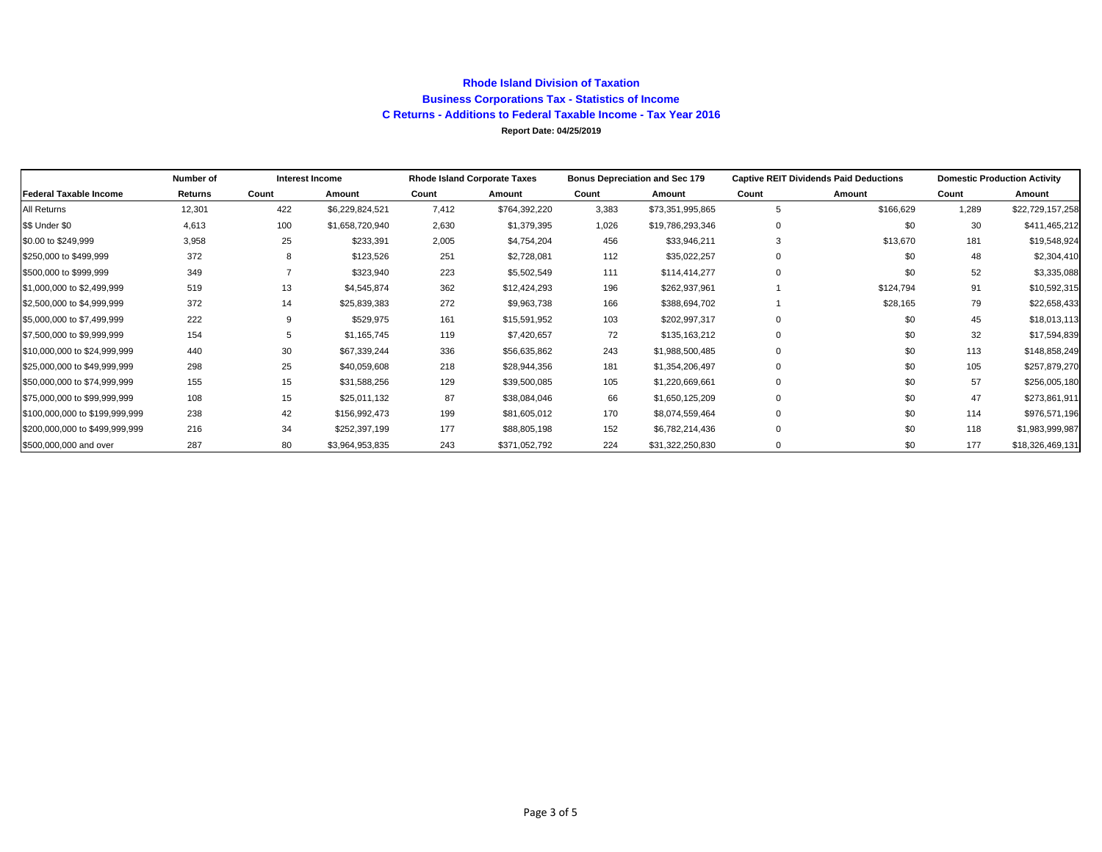### **Rhode Island Division of Taxation Business Corporations Tax - Statistics of Income C Returns - Additions to Federal Taxable Income - Tax Year 2016 Report Date: 04/25/2019**

|                                | Number of |       | <b>Interest Income</b> |       | <b>Rhode Island Corporate Taxes</b><br><b>Bonus Depreciation and Sec 179</b> |       |                  | <b>Captive REIT Dividends Paid Deductions</b> | <b>Domestic Production Activity</b> |       |                  |
|--------------------------------|-----------|-------|------------------------|-------|------------------------------------------------------------------------------|-------|------------------|-----------------------------------------------|-------------------------------------|-------|------------------|
| <b>Federal Taxable Income</b>  | Returns   | Count | Amount                 | Count | Amount                                                                       | Count | Amount           | Count                                         | Amount                              | Count | Amount           |
| All Returns                    | 12,301    | 422   | \$6,229,824,521        | 7,412 | \$764,392,220                                                                | 3,383 | \$73,351,995,865 | 5                                             | \$166,629                           | 1,289 | \$22,729,157,258 |
| \$\$ Under \$0                 | 4,613     | 100   | \$1,658,720,940        | 2,630 | \$1,379,395                                                                  | 1,026 | \$19,786,293,346 | 0                                             | \$0                                 | 30    | \$411,465,212    |
| \$0.00 to \$249,999            | 3,958     | 25    | \$233,391              | 2,005 | \$4,754,204                                                                  | 456   | \$33,946,211     | 3                                             | \$13,670                            | 181   | \$19,548,924     |
| \$250,000 to \$499,999         | 372       |       | \$123,526              | 251   | \$2,728,081                                                                  | 112   | \$35,022,257     | $\mathbf 0$                                   | \$0                                 | 48    | \$2,304,410      |
| \$500,000 to \$999,999         | 349       |       | \$323,940              | 223   | \$5,502,549                                                                  | 111   | \$114,414,277    | $\Omega$                                      | \$0                                 | 52    | \$3,335,088      |
| \$1,000,000 to \$2,499,999     | 519       | 13    | \$4,545,874            | 362   | \$12,424,293                                                                 | 196   | \$262,937,961    |                                               | \$124,794                           | 91    | \$10,592,315     |
| \$2,500,000 to \$4,999,999     | 372       | 14    | \$25,839,383           | 272   | \$9,963,738                                                                  | 166   | \$388,694,702    |                                               | \$28,165                            | 79    | \$22,658,433     |
| \$5,000,000 to \$7,499,999     | 222       |       | \$529,975              | 161   | \$15,591,952                                                                 | 103   | \$202,997,317    | $\mathbf 0$                                   | \$0                                 | 45    | \$18,013,113     |
| \$7,500,000 to \$9,999,999     | 154       |       | \$1,165,745            | 119   | \$7,420,657                                                                  | 72    | \$135,163,212    | 0                                             | \$0                                 | 32    | \$17,594,839     |
| \$10,000,000 to \$24,999,999   | 440       | 30    | \$67,339,244           | 336   | \$56,635,862                                                                 | 243   | \$1,988,500,485  | $\Omega$                                      | \$0                                 | 113   | \$148,858,249    |
| \$25,000,000 to \$49,999,999   | 298       | 25    | \$40,059,608           | 218   | \$28,944,356                                                                 | 181   | \$1,354,206,497  | $\Omega$                                      | \$0                                 | 105   | \$257,879,270    |
| \$50,000,000 to \$74,999,999   | 155       | 15    | \$31,588,256           | 129   | \$39,500,085                                                                 | 105   | \$1,220,669,661  |                                               | \$0                                 | 57    | \$256,005,180    |
| \$75,000,000 to \$99,999,999   | 108       | 15    | \$25,011,132           | 87    | \$38,084,046                                                                 | 66    | \$1,650,125,209  | $\Omega$                                      | \$0                                 | 47    | \$273,861,911    |
| \$100,000,000 to \$199,999,999 | 238       | 42    | \$156,992,473          | 199   | \$81,605,012                                                                 | 170   | \$8,074,559,464  | 0                                             | \$0                                 | 114   | \$976,571,196    |
| \$200,000,000 to \$499,999,999 | 216       | 34    | \$252,397,199          | 177   | \$88,805,198                                                                 | 152   | \$6,782,214,436  | 0                                             | \$0                                 | 118   | \$1,983,999,987  |
| \$500,000,000 and over         | 287       | 80    | \$3,964,953,835        | 243   | \$371,052,792                                                                | 224   | \$31,322,250,830 | $\Omega$                                      | \$0                                 | 177   | \$18,326,469,131 |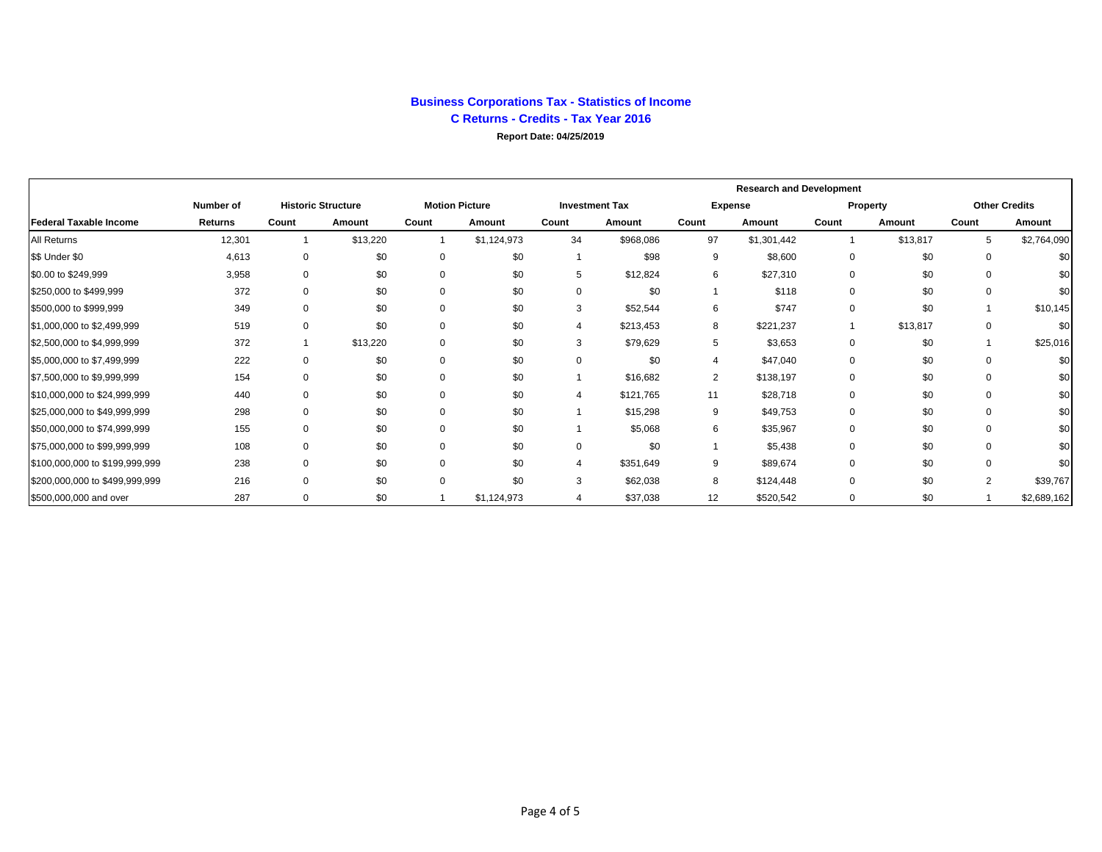### **Business Corporations Tax - Statistics of Income C Returns - Credits - Tax Year 2016**

**Report Date: 04/25/2019**

|                                |                |          |                           |             |                       |          |                       | <b>Research and Development</b> |                |          |          |          |                      |
|--------------------------------|----------------|----------|---------------------------|-------------|-----------------------|----------|-----------------------|---------------------------------|----------------|----------|----------|----------|----------------------|
|                                | Number of      |          | <b>Historic Structure</b> |             | <b>Motion Picture</b> |          | <b>Investment Tax</b> |                                 | <b>Expense</b> |          | Property |          | <b>Other Credits</b> |
| <b>Federal Taxable Income</b>  | <b>Returns</b> | Count    | Amount                    | Count       | Amount                | Count    | Amount                | Count                           | Amount         | Count    | Amount   | Count    | Amount               |
| All Returns                    | 12,301         |          | \$13,220                  |             | \$1,124,973           | 34       | \$968,086             | 97                              | \$1,301,442    |          | \$13,817 | 5        | \$2,764,090          |
| \$\$ Under \$0                 | 4,613          | 0        | \$0                       | $\mathbf 0$ | \$0                   |          | \$98                  | 9                               | \$8,600        | 0        | \$0      | $\Omega$ | \$0                  |
| \$0.00 to \$249,999            | 3,958          | $\Omega$ | \$0                       | $\Omega$    | \$0                   | 5        | \$12,824              | 6                               | \$27,310       | $\Omega$ | \$0      | 0        | \$0                  |
| \$250,000 to \$499,999         | 372            |          | \$0                       | $\Omega$    | \$0                   | 0        | \$0                   |                                 | \$118          |          | \$0      | 0        | \$0                  |
| \$500,000 to \$999,999         | 349            |          | \$0                       | $\Omega$    | \$0                   | 3        | \$52,544              | 6                               | \$747          |          | \$0      |          | \$10,145             |
| \$1,000,000 to \$2,499,999     | 519            |          | \$0                       | $\mathbf 0$ | \$0                   | 4        | \$213,453             | 8                               | \$221,237      |          | \$13,817 | 0        | \$0                  |
| \$2,500,000 to \$4,999,999     | 372            |          | \$13,220                  | $\Omega$    | \$0                   | 3        | \$79,629              | 5                               | \$3,653        | 0        | \$0      |          | \$25,016             |
| \$5,000,000 to \$7,499,999     | 222            |          | \$0                       | $\Omega$    | \$0                   | 0        | \$0                   |                                 | \$47,040       |          | \$0      | $\Omega$ | \$0                  |
| \$7,500,000 to \$9,999,999     | 154            |          | \$0                       | $\Omega$    | \$0                   |          | \$16,682              | $\overline{2}$                  | \$138,197      | O        | \$0      | $\Omega$ | \$0                  |
| \$10,000,000 to \$24,999,999   | 440            |          | \$0                       | $\Omega$    | \$0                   | 4        | \$121,765             | 11                              | \$28,718       | 0        | \$0      | $\Omega$ | \$0                  |
| \$25,000,000 to \$49,999,999   | 298            |          | \$0                       | $\Omega$    | \$0                   |          | \$15,298              | 9                               | \$49,753       | $\Omega$ | \$0      | $\Omega$ | \$0                  |
| \$50,000,000 to \$74,999,999   | 155            |          | \$0                       | $\Omega$    | \$0                   |          | \$5,068               | 6                               | \$35,967       | 0        | \$0      | $\Omega$ | \$0                  |
| \$75,000,000 to \$99,999,999   | 108            | $\Omega$ | \$0                       | $\Omega$    | \$0                   | $\Omega$ | \$0                   |                                 | \$5,438        | 0        | \$0      | $\Omega$ | \$0                  |
| \$100,000,000 to \$199,999,999 | 238            | $\Omega$ | \$0                       | $\Omega$    | \$0                   |          | \$351,649             | 9                               | \$89,674       | 0        | \$0      | $\Omega$ | \$0                  |
| \$200,000,000 to \$499,999,999 | 216            |          | \$0                       | $\Omega$    | \$0                   | 3        | \$62,038              | 8                               | \$124,448      |          | \$0      | $\Omega$ | \$39,767             |
| \$500,000,000 and over         | 287            | $\Omega$ | \$0                       |             | \$1,124,973           | 4        | \$37,038              | 12                              | \$520,542      | $\Omega$ | \$0      |          | \$2,689,162          |